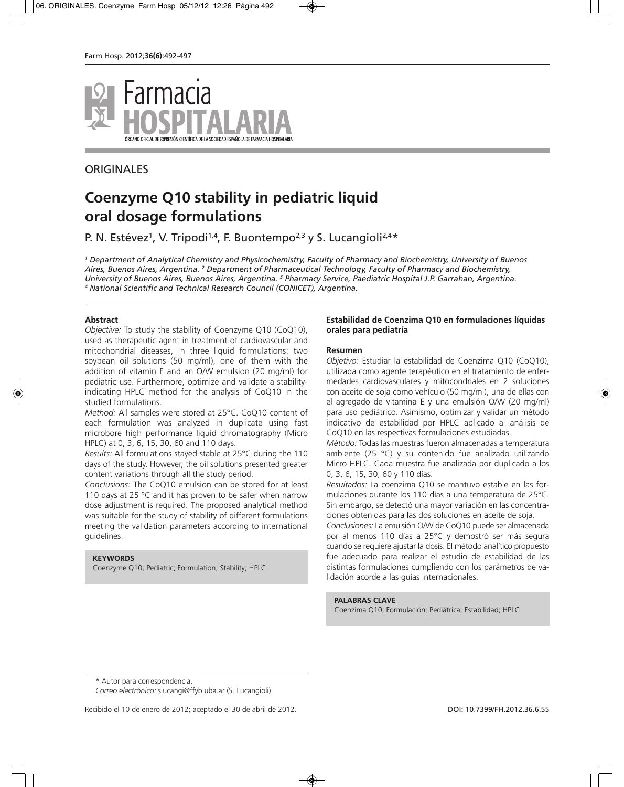

# **ORIGINALES**

# **Coenzyme Q10 stability in pediatric liquid oral dosage formulations**

P. N. Estévez<sup>1</sup>, V. Tripodi<sup>1,4</sup>, F. Buontempo<sup>2,3</sup> y S. Lucangioli<sup>2,4\*</sup>

*<sup>1</sup> Department of Analytical Chemistry and Physicochemistry, Faculty of Pharmacy and Biochemistry, University of Buenos Aires, Buenos Aires, Argentina. 2 Department of Pharmaceutical Technology, Faculty of Pharmacy and Biochemistry, University of Buenos Aires, Buenos Aires, Argentina. 3 Pharmacy Service, Paediatric Hospital J.P. Garrahan, Argentina. <sup>4</sup> National Scientific and Technical Research Council (CONICET), Argentina.*

#### **Abstract**

*Objective:* To study the stability of Coenzyme Q10 (CoQ10), used as therapeutic agent in treatment of cardiovascular and mitochondrial diseases, in three liquid formulations: two soybean oil solutions (50 mg/ml), one of them with the addition of vitamin E and an O/W emulsion (20 mg/ml) for pediatric use. Furthermore, optimize and validate a stabilityindicating HPLC method for the analysis of CoQ10 in the studied formulations.

*Method:* All samples were stored at 25°C. CoQ10 content of each formulation was analyzed in duplicate using fast microbore high performance liquid chromatography (Micro HPLC) at 0, 3, 6, 15, 30, 60 and 110 days.

*Results:* All formulations stayed stable at 25°C during the 110 days of the study. However, the oil solutions presented greater content variations through all the study period.

*Conclusions:* The CoQ10 emulsion can be stored for at least 110 days at 25 °C and it has proven to be safer when narrow dose adjustment is required. The proposed analytical method was suitable for the study of stability of different formulations meeting the validation parameters according to international guidelines.

#### **KEYWORDS**

Coenzyme Q10; Pediatric; Formulation; Stability; HPLC

#### **Estabilidad de Coenzima Q10 en formulaciones líquidas orales para pediatría**

#### **Resumen**

*Objetivo:* Estudiar la estabilidad de Coenzima Q10 (CoQ10), utilizada como agente terapéutico en el tratamiento de enfermedades cardiovasculares y mitocondriales en 2 soluciones con aceite de soja como vehículo (50 mg/ml), una de ellas con el agregado de vitamina E y una emulsión O/W (20 mg/ml) para uso pediátrico. Asimismo, optimizar y validar un método indicativo de estabilidad por HPLC aplicado al análisis de CoQ10 en las respectivas formulaciones estudiadas.

*Método:* Todas las muestras fueron almacenadas a temperatura ambiente (25 °C) y su contenido fue analizado utilizando Micro HPLC. Cada muestra fue analizada por duplicado a los 0, 3, 6, 15, 30, 60 y 110 días.

*Resultados:* La coenzima Q10 se mantuvo estable en las formulaciones durante los 110 días a una temperatura de 25°C. Sin embargo, se detectó una mayor variación en las concentraciones obtenidas para las dos soluciones en aceite de soja.

*Conclusiones:* La emulsión O/W de CoQ10 puede ser almacenada por al menos 110 días a 25°C y demostró ser más segura cuando se requiere ajustar la dosis. El método analítico propuesto fue adecuado para realizar el estudio de estabilidad de las distintas formulaciones cumpliendo con los parámetros de validación acorde a las guías internacionales.

#### **PALABRAS CLAVE**

Coenzima Q10; Formulación; Pediátrica; Estabilidad; HPLC

\* Autor para correspondencia.

*Correo electrónico:* slucangi@ffyb.uba.ar (S. Lucangioli).

Recibido el 10 de enero de 2012; aceptado el 30 de abril de 2012. DOI: 10.7399/FH.2012.36.6.55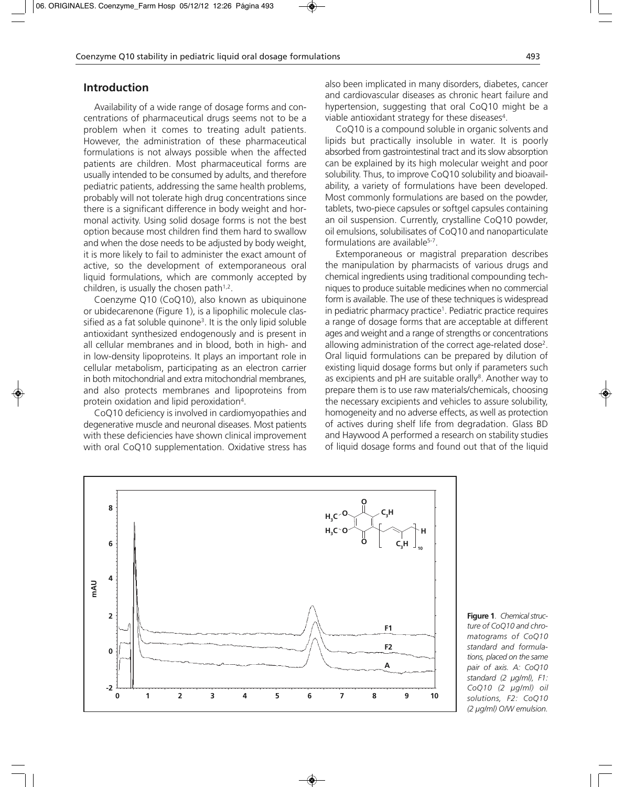## **Introduction**

Availability of a wide range of dosage forms and concentrations of pharmaceutical drugs seems not to be a problem when it comes to treating adult patients. However, the administration of these pharmaceutical formulations is not always possible when the affected patients are children. Most pharmaceutical forms are usually intended to be consumed by adults, and therefore pediatric patients, addressing the same health problems, probably will not tolerate high drug concentrations since there is a significant difference in body weight and hormonal activity. Using solid dosage forms is not the best option because most children find them hard to swallow and when the dose needs to be adjusted by body weight, it is more likely to fail to administer the exact amount of active, so the development of extemporaneous oral liquid formulations, which are commonly accepted by children, is usually the chosen path $1,2$ .

Coenzyme Q10 (CoQ10), also known as ubiquinone or ubidecarenone (Figure 1), is a lipophilic molecule classified as a fat soluble quinone<sup>3</sup>. It is the only lipid soluble antioxidant synthesized endogenously and is present in all cellular membranes and in blood, both in high- and in low-density lipoproteins. It plays an important role in cellular metabolism, participating as an electron carrier in both mitochondrial and extra mitochondrial membranes, and also protects membranes and lipoproteins from protein oxidation and lipid peroxidation4.

CoQ10 deficiency is involved in cardiomyopathies and degenerative muscle and neuronal diseases. Most patients with these deficiencies have shown clinical improvement with oral CoQ10 supplementation. Oxidative stress has

also been implicated in many disorders, diabetes, cancer and cardiovascular diseases as chronic heart failure and hypertension, suggesting that oral CoQ10 might be a viable antioxidant strategy for these diseases<sup>4</sup>.

CoQ10 is a compound soluble in organic solvents and lipids but practically insoluble in water. It is poorly absorbed from gastrointestinal tract and its slow absorption can be explained by its high molecular weight and poor solubility. Thus, to improve CoQ10 solubility and bioavailability, a variety of formulations have been developed. Most commonly formulations are based on the powder, tablets, two-piece capsules or softgel capsules containing an oil suspension. Currently, crystalline CoQ10 powder, oil emulsions, solubilisates of CoQ10 and nanoparticulate formulations are available<sup>5-7</sup>.

Extemporaneous or magistral preparation describes the manipulation by pharmacists of various drugs and chemical ingredients using traditional compounding techniques to produce suitable medicines when no commercial form is available. The use of these techniques is widespread in pediatric pharmacy practice<sup>1</sup>. Pediatric practice requires a range of dosage forms that are acceptable at different ages and weight and a range of strengths or concentrations allowing administration of the correct age-related dose<sup>2</sup>. Oral liquid formulations can be prepared by dilution of existing liquid dosage forms but only if parameters such as excipients and pH are suitable orally<sup>8</sup>. Another way to prepare them is to use raw materials/chemicals, choosing the necessary excipients and vehicles to assure solubility, homogeneity and no adverse effects, as well as protection of actives during shelf life from degradation. Glass BD and Haywood A performed a research on stability studies of liquid dosage forms and found out that of the liquid



**Figure 1**. *Chemical struc ture of CoQ10 and chromatograms of CoQ10 standard and formulations, placed on the same pair of axis. A: CoQ10 standard (2 µg/ml), F1: CoQ10 (2 µg/ml) oil solutions, F2: CoQ10 (2 µg/ml) O/W emulsion.*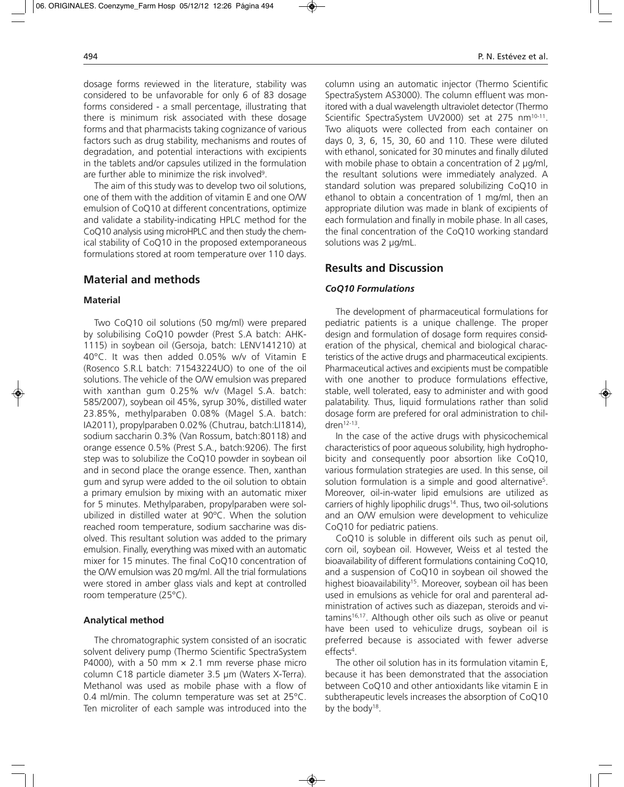dosage forms reviewed in the literature, stability was considered to be unfavorable for only 6 of 83 dosage forms considered - a small percentage, illustrating that there is minimum risk associated with these dosage forms and that pharmacists taking cognizance of various factors such as drug stability, mechanisms and routes of degradation, and potential interactions with excipients in the tablets and/or capsules utilized in the formulation are further able to minimize the risk involved<sup>9</sup>.

The aim of this study was to develop two oil solutions, one of them with the addition of vitamin E and one O/W emulsion of CoQ10 at different concentrations, optimize and validate a stability-indicating HPLC method for the CoQ10 analysis using microHPLC and then study the chemical stability of CoQ10 in the proposed extemporaneous formulations stored at room temperature over 110 days.

## **Material and methods**

#### **Material**

Two CoQ10 oil solutions (50 mg/ml) were prepared by solubilising CoQ10 powder (Prest S.A batch: AHK-1115) in soybean oil (Gersoja, batch: LENV141210) at 40°C. It was then added 0.05% w/v of Vitamin E (Rosenco S.R.L batch: 71543224UO) to one of the oil solutions. The vehicle of the O/W emulsion was prepared with xanthan gum 0.25% w/v (Magel S.A. batch: 585/2007), soybean oil 45%, syrup 30%, distilled water 23.85%, methylparaben 0.08% (Magel S.A. batch: IA2011), propylparaben 0.02% (Chutrau, batch:LI1814), sodium saccharin 0.3% (Van Rossum, batch:80118) and orange essence 0.5% (Prest S.A., batch:9206). The first step was to solubilize the CoQ10 powder in soybean oil and in second place the orange essence. Then, xanthan gum and syrup were added to the oil solution to obtain a primary emulsion by mixing with an automatic mixer for 5 minutes. Methylparaben, propylparaben were solubilized in distilled water at 90ºC. When the solution reached room temperature, sodium saccharine was disolved. This resultant solution was added to the primary emulsion. Finally, everything was mixed with an automatic mixer for 15 minutes. The final CoQ10 concentration of the O/W emulsion was 20 mg/ml. All the trial formulations were stored in amber glass vials and kept at controlled room temperature (25°C).

#### **Analytical method**

The chromatographic system consisted of an isocratic solvent delivery pump (Thermo Scientific SpectraSystem P4000), with a 50 mm  $\times$  2.1 mm reverse phase micro column C18 particle diameter 3.5 µm (Waters X-Terra). Methanol was used as mobile phase with a flow of 0.4 ml/min. The column temperature was set at 25°C. Ten microliter of each sample was introduced into the

column using an automatic injector (Thermo Scientific SpectraSystem AS3000). The column effluent was monitored with a dual wavelength ultraviolet detector (Thermo Scientific SpectraSystem UV2000) set at 275 nm<sup>10-11</sup>. Two aliquots were collected from each container on days 0, 3, 6, 15, 30, 60 and 110. These were diluted with ethanol, sonicated for 30 minutes and finally diluted with mobile phase to obtain a concentration of 2 µg/ml, the resultant solutions were immediately analyzed. A standard solution was prepared solubilizing CoQ10 in ethanol to obtain a concentration of 1 mg/ml, then an appropriate dilution was made in blank of excipients of each formulation and finally in mobile phase. In all cases, the final concentration of the CoQ10 working standard solutions was 2 µg/mL.

## **Results and Discussion**

#### *CoQ10 Formulations*

The development of pharmaceutical formulations for pediatric patients is a unique challenge. The proper design and formulation of dosage form requires consideration of the physical, chemical and biological characteristics of the active drugs and pharmaceutical excipients. Pharmaceutical actives and excipients must be compatible with one another to produce formulations effective, stable, well tolerated, easy to administer and with good palatability. Thus, liquid formulations rather than solid dosage form are prefered for oral administration to children $12-13$ .

In the case of the active drugs with physicochemical characteristics of poor aqueous solubility, high hydrophobicity and consequently poor absortion like CoQ10, various formulation strategies are used. In this sense, oil solution formulation is a simple and good alternative<sup>5</sup>. Moreover, oil-in-water lipid emulsions are utilized as carriers of highly lipophilic drugs<sup>14</sup>. Thus, two oil-solutions and an O/W emulsion were development to vehiculize CoQ10 for pediatric patiens.

CoQ10 is soluble in different oils such as penut oil, corn oil, soybean oil. However, Weiss et al tested the bioavailability of different formulations containing CoQ10, and a suspension of CoQ10 in soybean oil showed the highest bioavailability<sup>15</sup>. Moreover, soybean oil has been used in emulsions as vehicle for oral and parenteral administration of actives such as diazepan, steroids and vi $t$ amins<sup>16,17</sup>. Although other oils such as olive or peanut have been used to vehiculize drugs, soybean oil is preferred because is associated with fewer adverse effects<sup>4</sup>.

The other oil solution has in its formulation vitamin E, because it has been demonstrated that the association between CoQ10 and other antioxidants like vitamin E in subtherapeutic levels increases the absorption of CoQ10 by the body<sup>18</sup>.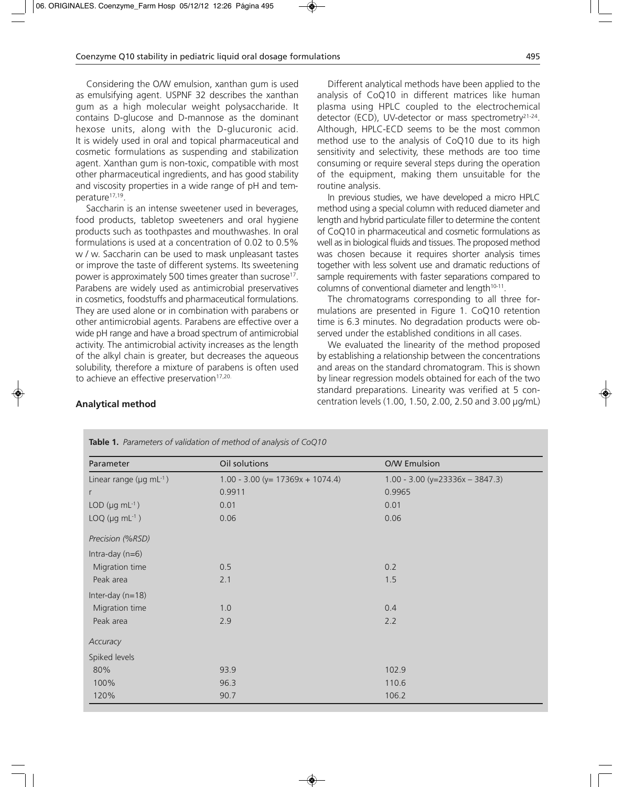Considering the O/W emulsion, xanthan gum is used as emulsifying agent. USPNF 32 describes the xanthan gum as a high molecular weight polysaccharide. It contains D-glucose and D-mannose as the dominant hexose units, along with the D-glucuronic acid. It is widely used in oral and topical pharmaceutical and cosmetic formulations as suspending and stabilization agent. Xanthan gum is non-toxic, compatible with most other pharmaceutical ingredients, and has good stability and viscosity properties in a wide range of pH and temperature<sup>17,19</sup>.

Saccharin is an intense sweetener used in beverages, food products, tabletop sweeteners and oral hygiene products such as toothpastes and mouthwashes. In oral formulations is used at a concentration of 0.02 to 0.5% w / w. Saccharin can be used to mask unpleasant tastes or improve the taste of different systems. Its sweetening power is approximately 500 times greater than sucrose<sup>17</sup>. Parabens are widely used as antimicrobial preservatives in cosmetics, foodstuffs and pharmaceutical formulations. They are used alone or in combination with parabens or other antimicrobial agents. Parabens are effective over a wide pH range and have a broad spectrum of antimicrobial activity. The antimicrobial activity increases as the length of the alkyl chain is greater, but decreases the aqueous solubility, therefore a mixture of parabens is often used to achieve an effective preservation<sup>17,20.</sup>

**Analytical method**

Different analytical methods have been applied to the analysis of CoQ10 in different matrices like human plasma using HPLC coupled to the electrochemical detector (ECD), UV-detector or mass spectrometry<sup>21-24</sup>. Although, HPLC-ECD seems to be the most common method use to the analysis of CoQ10 due to its high sensitivity and selectivity, these methods are too time consuming or require several steps during the operation of the equipment, making them unsuitable for the routine analysis.

In previous studies, we have developed a micro HPLC method using a special column with reduced diameter and length and hybrid particulate filler to determine the content of CoQ10 in pharmaceutical and cosmetic formulations as well as in biological fluids and tissues. The proposed method was chosen because it requires shorter analysis times together with less solvent use and dramatic reductions of sample requirements with faster separations compared to columns of conventional diameter and length<sup>10-11</sup>.

The chromatograms corresponding to all three formulations are presented in Figure 1. CoQ10 retention time is 6.3 minutes. No degradation products were observed under the established conditions in all cases.

We evaluated the linearity of the method proposed by establishing a relationship between the concentrations and areas on the standard chromatogram. This is shown by linear regression models obtained for each of the two standard preparations. Linearity was verified at 5 concentration levels (1.00, 1.50, 2.00, 2.50 and 3.00 µg/mL)

| Parameter                           | Oil solutions                         | <b>O/W Emulsion</b>               |  |  |
|-------------------------------------|---------------------------------------|-----------------------------------|--|--|
| Linear range ( $\mu$ g mL $^{-1}$ ) | $1.00 - 3.00$ (y= $17369x + 1074.4$ ) | $1.00 - 3.00 (y=23336x - 3847.3)$ |  |  |
| r                                   | 0.9911                                | 0.9965                            |  |  |
| LOD ( $\mu$ g mL $^{-1}$ )          | 0.01                                  | 0.01                              |  |  |
| LOQ ( $\mu$ g mL $^{-1}$ )          | 0.06                                  | 0.06                              |  |  |
| Precision (%RSD)                    |                                       |                                   |  |  |
| Intra-day $(n=6)$                   |                                       |                                   |  |  |
| Migration time                      | 0.5                                   | 0.2                               |  |  |
| Peak area                           | 2.1                                   | 1.5                               |  |  |
| Inter-day (n=18)                    |                                       |                                   |  |  |
| Migration time                      | 1.0                                   | 0.4                               |  |  |
| Peak area                           | 2.9<br>2.2                            |                                   |  |  |
| Accuracy                            |                                       |                                   |  |  |
| Spiked levels                       |                                       |                                   |  |  |
| 80%                                 | 93.9                                  | 102.9                             |  |  |
| 100%                                | 96.3                                  | 110.6                             |  |  |
| 120%                                | 90.7                                  | 106.2                             |  |  |

#### **Table 1.** *Parameters of validation of method of analysis of CoQ10*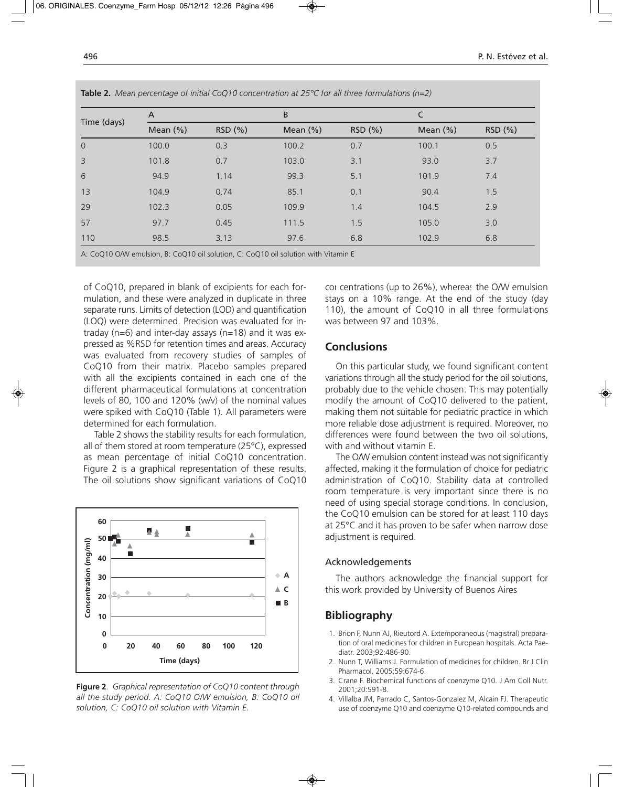| Time (days)    | A           |         | B            |         |              |         |  |
|----------------|-------------|---------|--------------|---------|--------------|---------|--|
|                | Mean $(\%)$ | RSD (%) | Mean $(\% )$ | RSD (%) | Mean $(\% )$ | RSD (%) |  |
| $\overline{0}$ | 100.0       | 0.3     | 100.2        | 0.7     | 100.1        | 0.5     |  |
| 3              | 101.8       | 0.7     | 103.0        | 3.1     | 93.0         | 3.7     |  |
| 6              | 94.9        | 1.14    | 99.3         | 5.1     | 101.9        | 7.4     |  |
| 13             | 104.9       | 0.74    | 85.1         | 0.1     | 90.4         | 1.5     |  |
| 29             | 102.3       | 0.05    | 109.9        | 1.4     | 104.5        | 2.9     |  |
| 57             | 97.7        | 0.45    | 111.5        | 1.5     | 105.0        | 3.0     |  |
| 110            | 98.5        | 3.13    | 97.6         | 6.8     | 102.9        | 6.8     |  |

**Table 2.** *Mean percentage of initial CoQ10 concentration at 25°C for all three formulations (n=2)*

of CoQ10, prepared in blank of excipients for each formulation, and these were analyzed in duplicate in three separate runs. Limits of detection (LOD) and quantification (LOQ) were determined. Precision was evaluated for intraday (n=6) and inter-day assays (n=18) and it was expressed as %RSD for retention times and areas. Accuracy was evaluated from recovery studies of samples of CoQ10 from their matrix. Placebo samples prepared with all the excipients contained in each one of the different pharmaceutical formulations at concentration levels of 80, 100 and 120% (w/v) of the nominal values were spiked with CoQ10 (Table 1). All parameters were determined for each formulation.

Table 2 shows the stability results for each formulation, all of them stored at room temperature (25°C), expressed as mean percentage of initial CoQ10 concentration. Figure 2 is a graphical representation of these results. The oil solutions show significant variations of CoQ10



**Figure 2**. *Graphical representation of CoQ10 content through all the study period. A: CoQ10 O/W emulsion, B: CoQ10 oil solution, C: CoQ10 oil solution with Vitamin E.*

cor centrations (up to 26%), whereas the O/W emulsion stays on a 10% range. At the end of the study (day 110), the amount of CoQ10 in all three formulations was between 97 and 103%.

## **Conclusions**

On this particular study, we found significant content variations through all the study period for the oil solutions, probably due to the vehicle chosen. This may potentially modify the amount of CoQ10 delivered to the patient, making them not suitable for pediatric practice in which more reliable dose adjustment is required. Moreover, no differences were found between the two oil solutions, with and without vitamin E.

The O/W emulsion content instead was not significantly affected, making it the formulation of choice for pediatric administration of CoQ10. Stability data at controlled room temperature is very important since there is no need of using special storage conditions. In conclusion, the CoQ10 emulsion can be stored for at least 110 days at 25°C and it has proven to be safer when narrow dose adjustment is required.

#### Acknowledgements

The authors acknowledge the financial support for this work provided by University of Buenos Aires

## **Bibliography**

- 1. Brion F, Nunn AJ, Rieutord A. Extemporaneous (magistral) preparation of oral medicines for children in European hospitals. Acta Paediatr. 2003;92:486-90.
- 2. Nunn T, Williams J. Formulation of medicines for children. Br J Clin Pharmacol. 2005;59:674-6.
- 3. Crane F. Biochemical functions of coenzyme Q10. J Am Coll Nutr. 2001;20:591-8.
- 4. Villalba JM, Parrado C, Santos-Gonzalez M, Alcain FJ. Therapeutic use of coenzyme Q10 and coenzyme Q10-related compounds and